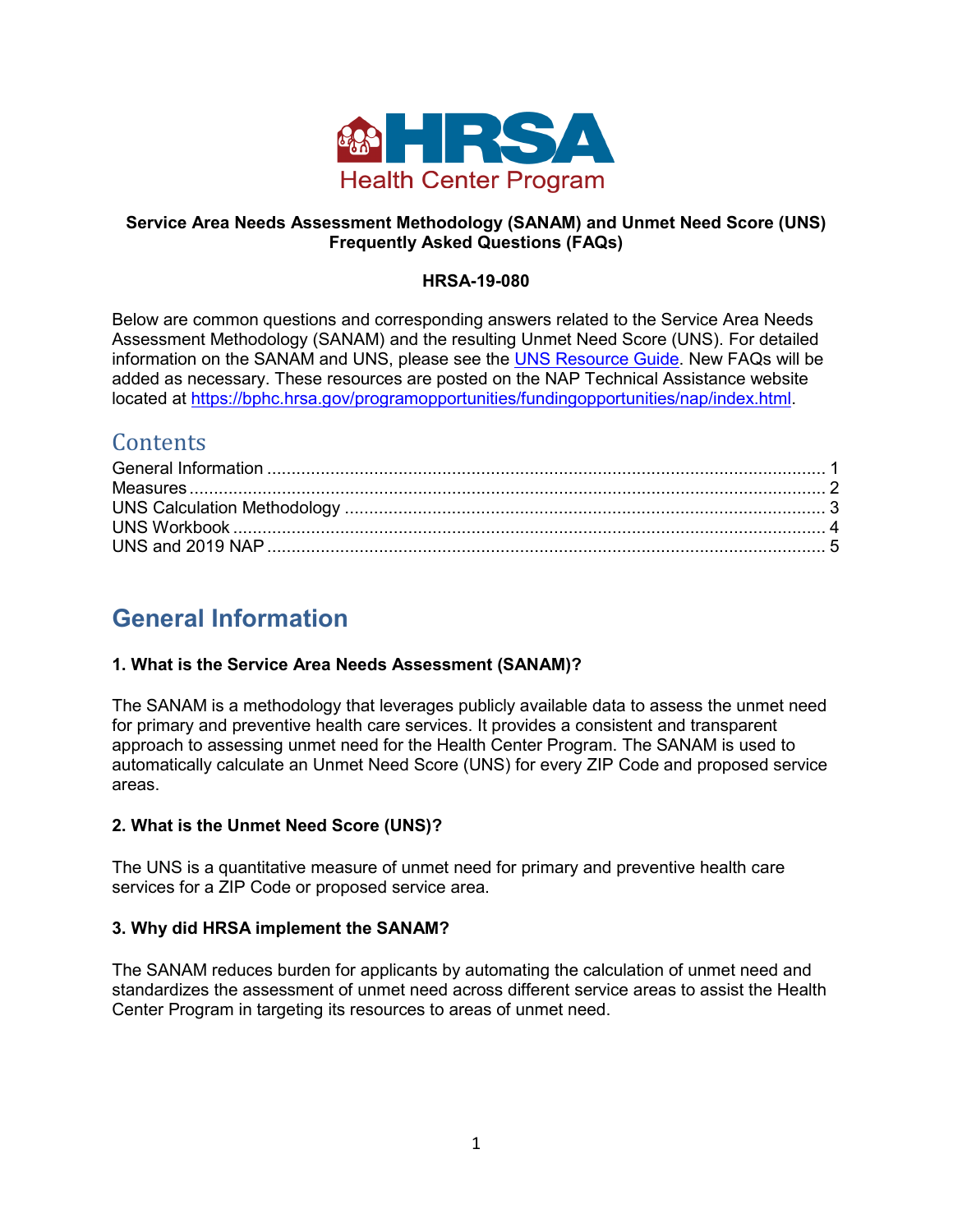

## **Service Area Needs Assessment Methodology (SANAM) and Unmet Need Score (UNS) Frequently Asked Questions (FAQs)**

#### **HRSA-19-080**

Below are common questions and corresponding answers related to the Service Area Needs Assessment Methodology (SANAM) and the resulting Unmet Need Score (UNS). For detailed information on the SANAM and UNS, please see the [UNS Resource Guide.](https://bphc.hrsa.gov/programopportunities/fundingopportunities/NAP/uns_resource_guide.pdf) New FAQs will be added as necessary. These resources are posted on the NAP Technical Assistance website located at [https://bphc.hrsa.gov/programopportunities/fundingopportunities/nap/index.html.](https://bphc.hrsa.gov/programopportunities/fundingopportunities/nap/index.html)

## **Contents**

# <span id="page-0-0"></span>**General Information**

## **1. What is the Service Area Needs Assessment (SANAM)?**

The SANAM is a methodology that leverages publicly available data to assess the unmet need for primary and preventive health care services. It provides a consistent and transparent approach to assessing unmet need for the Health Center Program. The SANAM is used to automatically calculate an Unmet Need Score (UNS) for every ZIP Code and proposed service areas.

## **2. What is the Unmet Need Score (UNS)?**

The UNS is a quantitative measure of unmet need for primary and preventive health care services for a ZIP Code or proposed service area.

#### **3. Why did HRSA implement the SANAM?**

The SANAM reduces burden for applicants by automating the calculation of unmet need and standardizes the assessment of unmet need across different service areas to assist the Health Center Program in targeting its resources to areas of unmet need.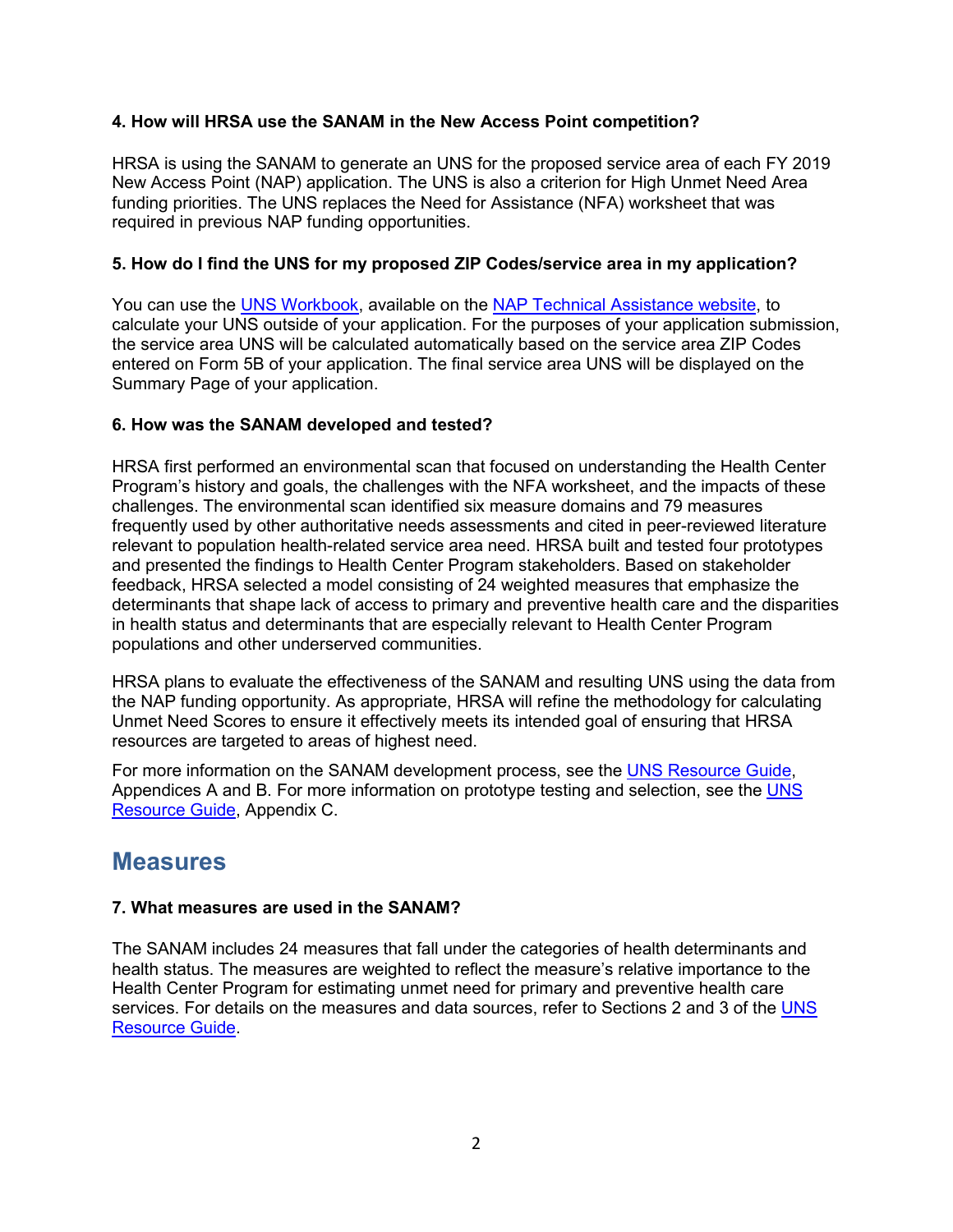## **4. How will HRSA use the SANAM in the New Access Point competition?**

HRSA is using the SANAM to generate an UNS for the proposed service area of each FY 2019 New Access Point (NAP) application. The UNS is also a criterion for High Unmet Need Area funding priorities. The UNS replaces the Need for Assistance (NFA) worksheet that was required in previous NAP funding opportunities.

## **5. How do I find the UNS for my proposed ZIP Codes/service area in my application?**

You can use the [UNS Workbook,](https://bphc.hrsa.gov/programopportunities/fundingopportunities/NAP/unmet_need_score_workbook.xlsx) available on the [NAP Technical Assistance website,](https://bphc.hrsa.gov/programopportunities/fundingopportunities/NAP/index.html) to calculate your UNS outside of your application. For the purposes of your application submission, the service area UNS will be calculated automatically based on the service area ZIP Codes entered on Form 5B of your application. The final service area UNS will be displayed on the Summary Page of your application.

## **6. How was the SANAM developed and tested?**

HRSA first performed an environmental scan that focused on understanding the Health Center Program's history and goals, the challenges with the NFA worksheet, and the impacts of these challenges. The environmental scan identified six measure domains and 79 measures frequently used by other authoritative needs assessments and cited in peer-reviewed literature relevant to population health-related service area need. HRSA built and tested four prototypes and presented the findings to Health Center Program stakeholders. Based on stakeholder feedback, HRSA selected a model consisting of 24 weighted measures that emphasize the determinants that shape lack of access to primary and preventive health care and the disparities in health status and determinants that are especially relevant to Health Center Program populations and other underserved communities.

HRSA plans to evaluate the effectiveness of the SANAM and resulting UNS using the data from the NAP funding opportunity. As appropriate, HRSA will refine the methodology for calculating Unmet Need Scores to ensure it effectively meets its intended goal of ensuring that HRSA resources are targeted to areas of highest need.

For more information on the SANAM development process, see the [UNS Resource Guide,](https://bphc.hrsa.gov/programopportunities/fundingopportunities/NAP/uns_resource_guide.pdf) Appendices A and B. For more information on prototype testing and selection, see the [UNS](https://bphc.hrsa.gov/programopportunities/fundingopportunities/NAP/uns_resource_guide.pdf)  [Resource Guide,](https://bphc.hrsa.gov/programopportunities/fundingopportunities/NAP/uns_resource_guide.pdf) Appendix C.

## <span id="page-1-0"></span>**Measures**

## **7. What measures are used in the SANAM?**

The SANAM includes 24 measures that fall under the categories of health determinants and health status. The measures are weighted to reflect the measure's relative importance to the Health Center Program for estimating unmet need for primary and preventive health care services. For details on the measures and data sources, refer to Sections 2 and 3 of the UNS [Resource Guide.](https://bphc.hrsa.gov/programopportunities/fundingopportunities/NAP/uns_resource_guide.pdf)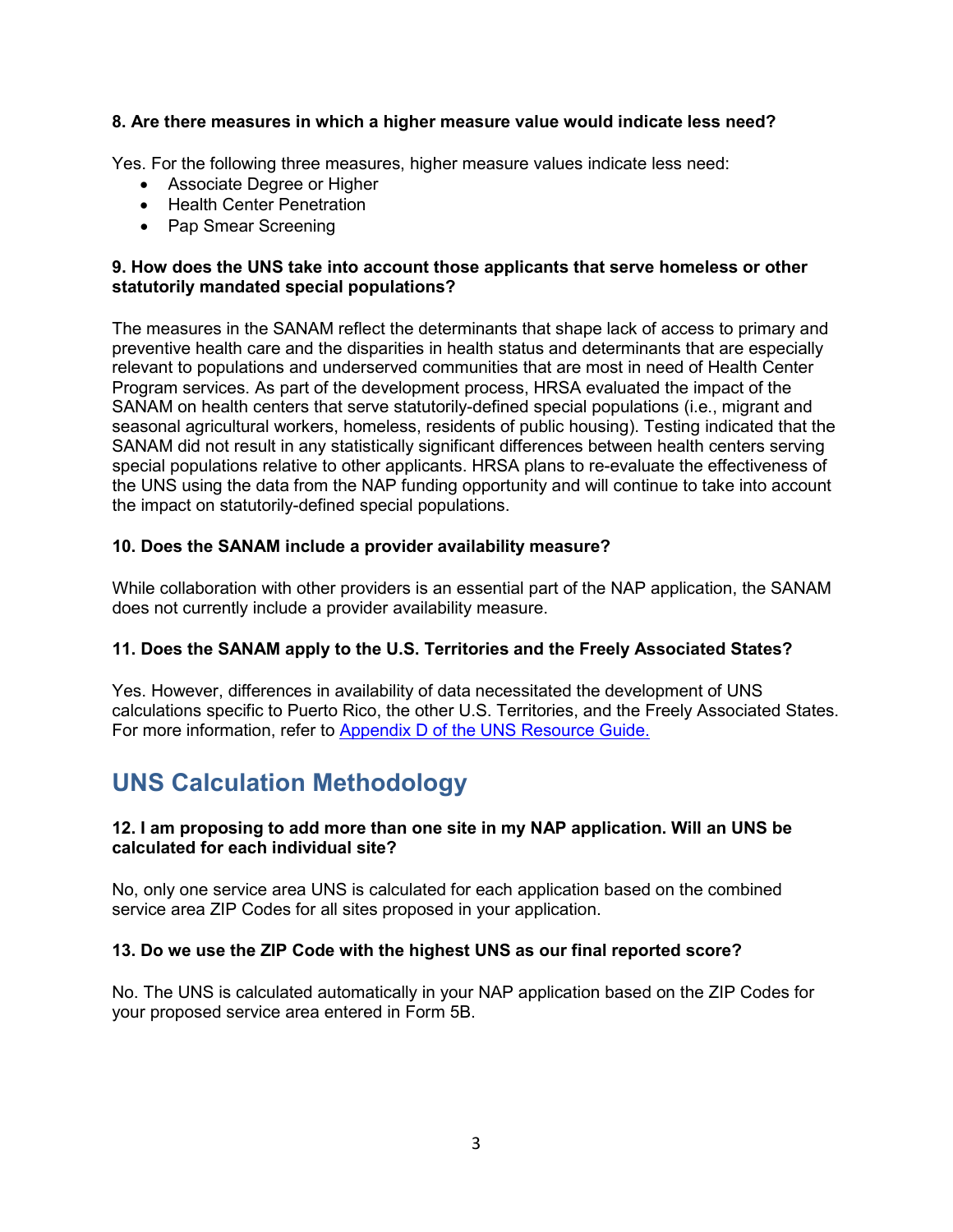## **8. Are there measures in which a higher measure value would indicate less need?**

Yes. For the following three measures, higher measure values indicate less need:

- Associate Degree or Higher
- Health Center Penetration
- Pap Smear Screening

#### **9. How does the UNS take into account those applicants that serve homeless or other statutorily mandated special populations?**

The measures in the SANAM reflect the determinants that shape lack of access to primary and preventive health care and the disparities in health status and determinants that are especially relevant to populations and underserved communities that are most in need of Health Center Program services. As part of the development process, HRSA evaluated the impact of the SANAM on health centers that serve statutorily-defined special populations (i.e., migrant and seasonal agricultural workers, homeless, residents of public housing). Testing indicated that the SANAM did not result in any statistically significant differences between health centers serving special populations relative to other applicants. HRSA plans to re-evaluate the effectiveness of the UNS using the data from the NAP funding opportunity and will continue to take into account the impact on statutorily-defined special populations.

#### **10. Does the SANAM include a provider availability measure?**

While collaboration with other providers is an essential part of the NAP application, the SANAM does not currently include a provider availability measure.

## **11. Does the SANAM apply to the U.S. Territories and the Freely Associated States?**

Yes. However, differences in availability of data necessitated the development of UNS calculations specific to Puerto Rico, the other U.S. Territories, and the Freely Associated States. For more information, refer to [Appendix D of the UNS Resource Guide.](https://bphc.hrsa.gov/programopportunities/fundingopportunities/NAP/uns_resource_guide.pdf)

# <span id="page-2-0"></span>**UNS Calculation Methodology**

#### **12. I am proposing to add more than one site in my NAP application. Will an UNS be calculated for each individual site?**

No, only one service area UNS is calculated for each application based on the combined service area ZIP Codes for all sites proposed in your application.

#### **13. Do we use the ZIP Code with the highest UNS as our final reported score?**

No. The UNS is calculated automatically in your NAP application based on the ZIP Codes for your proposed service area entered in Form 5B.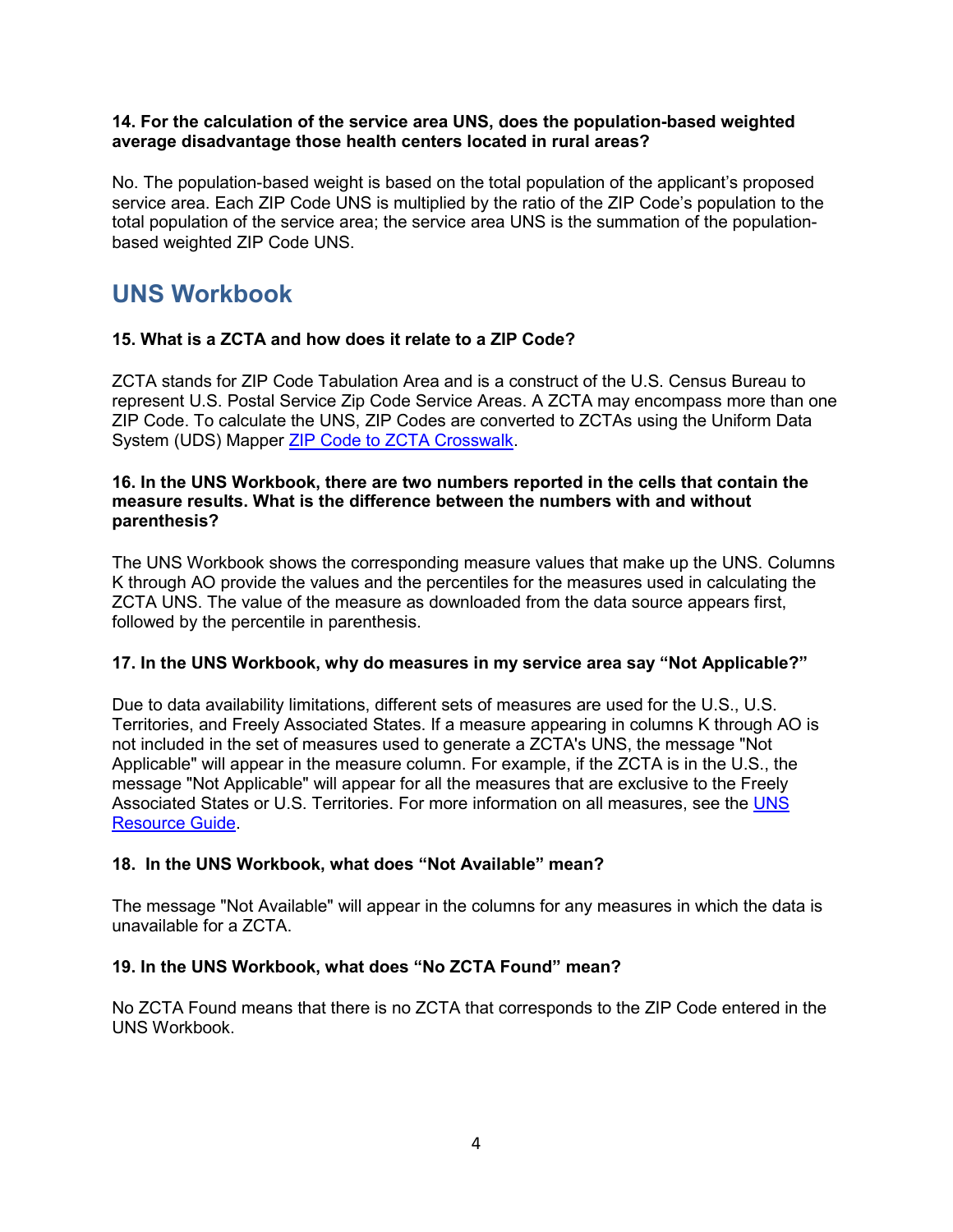### **14. For the calculation of the service area UNS, does the population-based weighted average disadvantage those health centers located in rural areas?**

No. The population-based weight is based on the total population of the applicant's proposed service area. Each ZIP Code UNS is multiplied by the ratio of the ZIP Code's population to the total population of the service area; the service area UNS is the summation of the populationbased weighted ZIP Code UNS.

# <span id="page-3-0"></span>**UNS Workbook**

## **15. What is a ZCTA and how does it relate to a ZIP Code?**

ZCTA stands for ZIP Code Tabulation Area and is a construct of the U.S. Census Bureau to represent U.S. Postal Service Zip Code Service Areas. A ZCTA may encompass more than one ZIP Code. To calculate the UNS, ZIP Codes are converted to ZCTAs using the Uniform Data System (UDS) Mapper [ZIP Code to ZCTA Crosswalk.](https://www.udsmapper.org/zcta-crosswalk.cfm)

#### **16. In the UNS Workbook, there are two numbers reported in the cells that contain the measure results. What is the difference between the numbers with and without parenthesis?**

The UNS Workbook shows the corresponding measure values that make up the UNS. Columns K through AO provide the values and the percentiles for the measures used in calculating the ZCTA UNS. The value of the measure as downloaded from the data source appears first, followed by the percentile in parenthesis.

## **17. In the UNS Workbook, why do measures in my service area say "Not Applicable?"**

Due to data availability limitations, different sets of measures are used for the U.S., U.S. Territories, and Freely Associated States. If a measure appearing in columns K through AO is not included in the set of measures used to generate a ZCTA's UNS, the message "Not Applicable" will appear in the measure column. For example, if the ZCTA is in the U.S., the message "Not Applicable" will appear for all the measures that are exclusive to the Freely Associated States or U.S. Territories. For more information on all measures, see the [UNS](https://bphc.hrsa.gov/programopportunities/fundingopportunities/NAP/uns_resource_guide.pdf)  [Resource Guide.](https://bphc.hrsa.gov/programopportunities/fundingopportunities/NAP/uns_resource_guide.pdf)

## **18. In the UNS Workbook, what does "Not Available" mean?**

The message "Not Available" will appear in the columns for any measures in which the data is unavailable for a ZCTA.

## **19. In the UNS Workbook, what does "No ZCTA Found" mean?**

No ZCTA Found means that there is no ZCTA that corresponds to the ZIP Code entered in the UNS Workbook.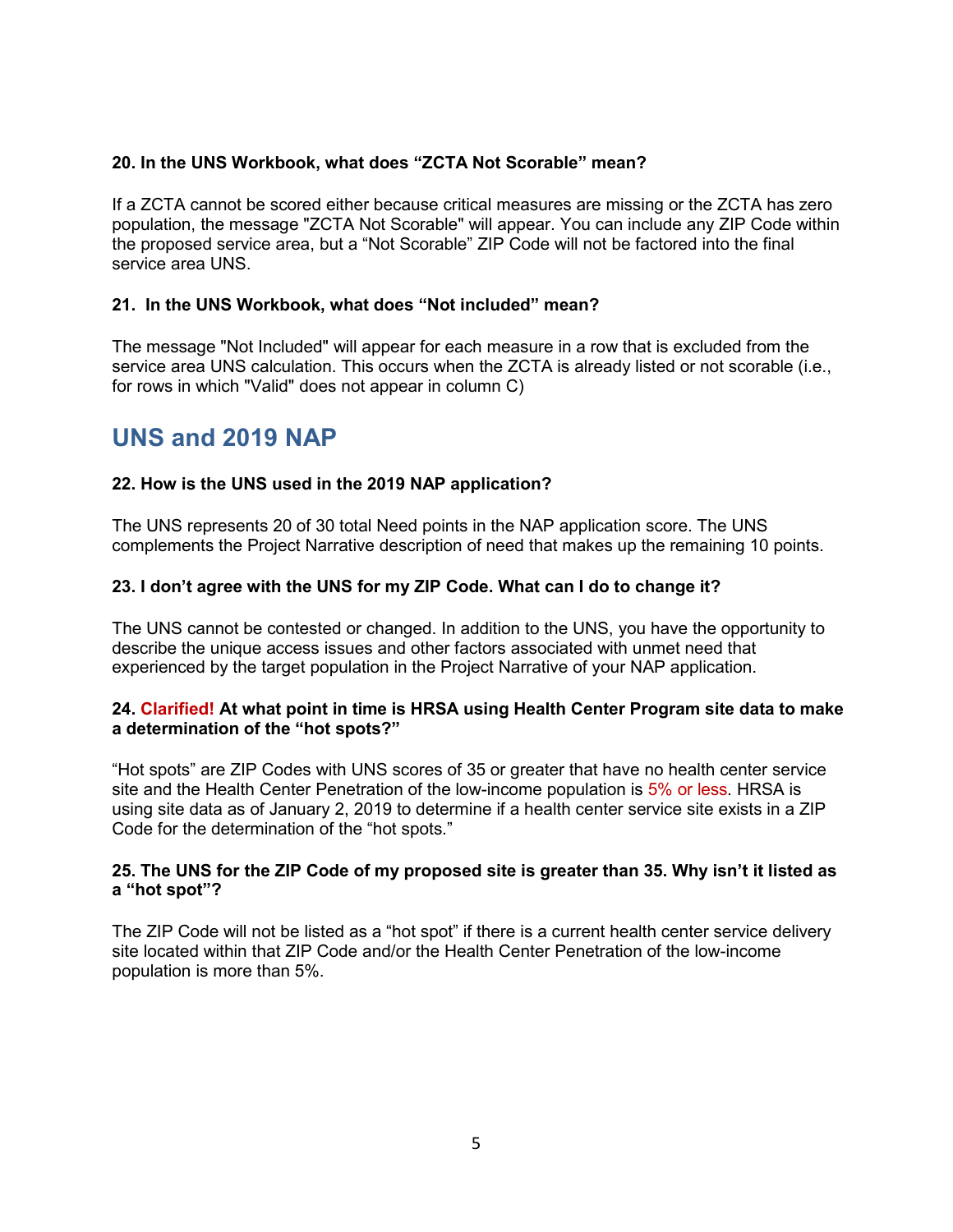## **20. In the UNS Workbook, what does "ZCTA Not Scorable" mean?**

If a ZCTA cannot be scored either because critical measures are missing or the ZCTA has zero population, the message "ZCTA Not Scorable" will appear. You can include any ZIP Code within the proposed service area, but a "Not Scorable" ZIP Code will not be factored into the final service area UNS.

#### **21. In the UNS Workbook, what does "Not included" mean?**

The message "Not Included" will appear for each measure in a row that is excluded from the service area UNS calculation. This occurs when the ZCTA is already listed or not scorable (i.e., for rows in which "Valid" does not appear in column C)

## <span id="page-4-0"></span>**UNS and 2019 NAP**

#### **22. How is the UNS used in the 2019 NAP application?**

The UNS represents 20 of 30 total Need points in the NAP application score. The UNS complements the Project Narrative description of need that makes up the remaining 10 points.

#### **23. I don't agree with the UNS for my ZIP Code. What can I do to change it?**

The UNS cannot be contested or changed. In addition to the UNS, you have the opportunity to describe the unique access issues and other factors associated with unmet need that experienced by the target population in the Project Narrative of your NAP application.

#### **24. Clarified! At what point in time is HRSA using Health Center Program site data to make a determination of the "hot spots?"**

"Hot spots" are ZIP Codes with UNS scores of 35 or greater that have no health center service site and the Health Center Penetration of the low-income population is 5% or less. HRSA is using site data as of January 2, 2019 to determine if a health center service site exists in a ZIP Code for the determination of the "hot spots."

#### **25. The UNS for the ZIP Code of my proposed site is greater than 35. Why isn't it listed as a "hot spot"?**

The ZIP Code will not be listed as a "hot spot" if there is a current health center service delivery site located within that ZIP Code and/or the Health Center Penetration of the low-income population is more than 5%.